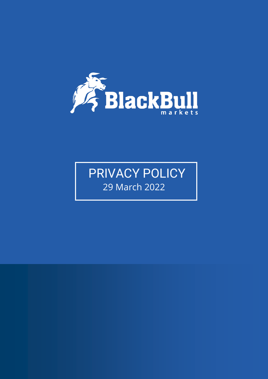

# PRIVACY POLICY 29 March 2022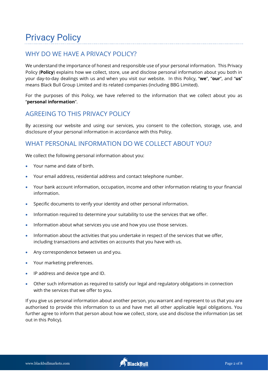# Privacy Policy

# WHY DO WE HAVE A PRIVACY POLICY?

We understand the importance of honest and responsible use of your personal information. This Privacy Policy (**Policy**) explains how we collect, store, use and disclose personal information about you both in your day-to-day dealings with us and when you visit our website. In this Policy, "**we**", "**our**", and "**us**" means Black Bull Group Limited and its related companies (including BBG Limited).

For the purposes of this Policy, we have referred to the information that we collect about you as "**personal information**".

# AGREEING TO THIS PRIVACY POLICY

By accessing our website and using our services, you consent to the collection, storage, use, and disclosure of your personal information in accordance with this Policy.

# WHAT PERSONAL INFORMATION DO WE COLLECT ABOUT YOU?

We collect the following personal information about you:

- Your name and date of birth.
- Your email address, residential address and contact telephone number.
- Your bank account information, occupation, income and other information relating to your financial information.
- Specific documents to verify your identity and other personal information.
- Information required to determine your suitability to use the services that we offer.
- Information about what services you use and how you use those services.
- Information about the activities that you undertake in respect of the services that we offer, including transactions and activities on accounts that you have with us.
- Any correspondence between us and you.
- Your marketing preferences.
- IP address and device type and ID.
- Other such information as required to satisfy our legal and regulatory obligations in connection with the services that we offer to you.

If you give us personal information about another person, you warrant and represent to us that you are authorised to provide this information to us and have met all other applicable legal obligations. You further agree to inform that person about how we collect, store, use and disclose the information (as set out in this Policy).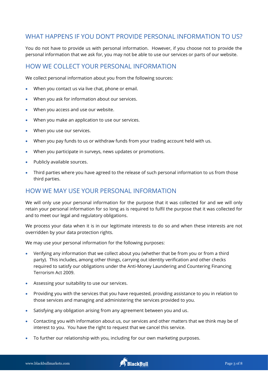# WHAT HAPPENS IF YOU DON'T PROVIDE PERSONAL INFORMATION TO US?

You do not have to provide us with personal information. However, if you choose not to provide the personal information that we ask for, you may not be able to use our services or parts of our website.

#### HOW WE COLLECT YOUR PERSONAL INFORMATION

We collect personal information about you from the following sources:

- When you contact us via live chat, phone or email.
- When you ask for information about our services.
- When you access and use our website.
- When you make an application to use our services.
- When you use our services.
- When you pay funds to us or withdraw funds from your trading account held with us.
- When you participate in surveys, news updates or promotions.
- Publicly available sources.
- Third parties where you have agreed to the release of such personal information to us from those third parties.

#### HOW WE MAY USE YOUR PERSONAL INFORMATION

We will only use your personal information for the purpose that it was collected for and we will only retain your personal information for so long as is required to fulfil the purpose that it was collected for and to meet our legal and regulatory obligations.

We process your data when it is in our legitimate interests to do so and when these interests are not overridden by your data protection rights.

We may use your personal information for the following purposes:

- Verifying any information that we collect about you (whether that be from you or from a third party). This includes, among other things, carrying out identity verification and other checks required to satisfy our obligations under the Anti-Money Laundering and Countering Financing Terrorism Act 2009.
- Assessing your suitability to use our services.
- Providing you with the services that you have requested, providing assistance to you in relation to those services and managing and administering the services provided to you.
- Satisfying any obligation arising from any agreement between you and us.
- Contacting you with information about us, our services and other matters that we think may be of interest to you. You have the right to request that we cancel this service.
- To further our relationship with you, including for our own marketing purposes.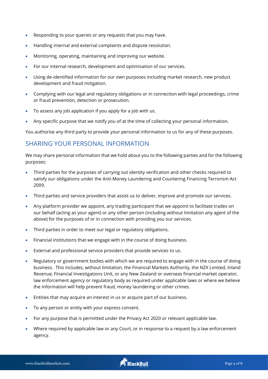- Responding to your queries or any requests that you may have.
- Handling internal and external complaints and dispute resolution.
- Monitoring, operating, maintaining and improving our website.
- For our internal research, development and optimisation of our services.
- Using de-identified information for our own purposes including market research, new product development and fraud mitigation.
- Complying with our legal and regulatory obligations or in connection with legal proceedings, crime or fraud prevention, detection or prosecution.
- To assess any job application if you apply for a job with us.
- Any specific purpose that we notify you of at the time of collecting your personal information.

You authorise any third party to provide your personal information to us for any of these purposes.

#### SHARING YOUR PERSONAL INFORMATION

We may share personal information that we hold about you to the following parties and for the following purposes:

- Third parties for the purposes of carrying out identity verification and other checks required to satisfy our obligations under the Anti-Money Laundering and Countering Financing Terrorism Act 2009.
- Third parties and service providers that assist us to deliver, improve and promote our services.
- Any platform provider we appoint, any trading participant that we appoint to facilitate trades on our behalf (acting as your agent) or any other person (including without limitation any agent of the above) for the purposes of or in connection with providing you our services.
- Third parties in order to meet our legal or regulatory obligations.
- Financial institutions that we engage with in the course of doing business.
- External and professional service providers that provide services to us.
- Regulatory or government bodies with which we are required to engage with in the course of doing business. This includes, without limitation, the Financial Markets Authority, the NZX Limited, Inland Revenue, Financial Investigations Unit, or any New Zealand or overseas financial market operator, law enforcement agency or regulatory body as required under applicable laws or where we believe the information will help prevent fraud, money laundering or other crimes.
- Entities that may acquire an interest in us or acquire part of our business.
- To any person or entity with your express consent.
- For any purpose that is permitted under the Privacy Act 2020 or relevant applicable law.
- Where required by applicable law or any Court, or in response to a request by a law enforcement agency.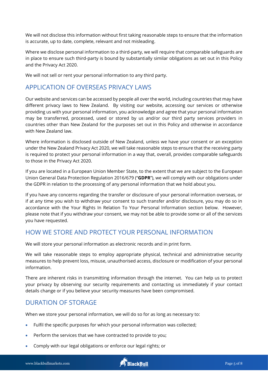We will not disclose this information without first taking reasonable steps to ensure that the information is accurate, up to date, complete, relevant and not misleading.

Where we disclose personal information to a third-party, we will require that comparable safeguards are in place to ensure such third-party is bound by substantially similar obligations as set out in this Policy and the Privacy Act 2020.

We will not sell or rent your personal information to any third party.

# APPLICATION OF OVERSEAS PRIVACY LAWS

Our website and services can be accessed by people all over the world, including countries that may have different privacy laws to New Zealand. By visiting our website, accessing our services or otherwise providing us with your personal information, you acknowledge and agree that your personal information may be transferred, processed, used or stored by us and/or our third party services providers in countries other than New Zealand for the purposes set out in this Policy and otherwise in accordance with New Zealand law.

Where information is disclosed outside of New Zealand, unless we have your consent or an exception under the New Zealand Privacy Act 2020, we will take reasonable steps to ensure that the receiving party is required to protect your personal information in a way that, overall, provides comparable safeguards to those in the Privacy Act 2020.

If you are located in a European Union Member State, to the extent that we are subject to the European Union General Data Protection Regulation 2016/679 ("**GDPR**"), we will comply with our obligations under the GDPR in relation to the processing of any personal information that we hold about you.

If you have any concerns regarding the transfer or disclosure of your personal information overseas, or if at any time you wish to withdraw your consent to such transfer and/or disclosure, you may do so in accordance with the Your Rights In Relation To Your Personal Information section below. However, please note that if you withdraw your consent, we may not be able to provide some or all of the services you have requested.

# HOW WE STORE AND PROTECT YOUR PERSONAL INFORMATION

We will store your personal information as electronic records and in print form.

We will take reasonable steps to employ appropriate physical, technical and administrative security measures to help prevent loss, misuse, unauthorised access, disclosure or modification of your personal information.

There are inherent risks in transmitting information through the internet. You can help us to protect your privacy by observing our security requirements and contacting us immediately if your contact details change or if you believe your security measures have been compromised.

# DURATION OF STORAGE

When we store your personal information, we will do so for as long as necessary to:

- Fulfil the specific purposes for which your personal information was collected;
- Perform the services that we have contracted to provide to you;
- Comply with our legal obligations or enforce our legal rights; or

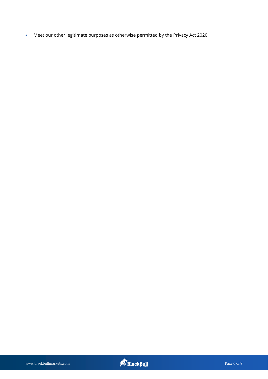• Meet our other legitimate purposes as otherwise permitted by the Privacy Act 2020.

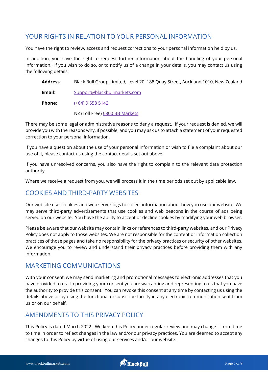# YOUR RIGHTS IN RELATION TO YOUR PERSONAL INFORMATION

You have the right to review, access and request corrections to your personal information held by us.

In addition, you have the right to request further information about the handling of your personal information. If you wish to do so, or to notify us of a change in your details, you may contact us using the following details:

**Address**: Black Bull Group Limited, Level 20, 188 Quay Street, Auckland 1010, New Zealand **Email**: [Support@blackbullmarkets.com](mailto:Support@blackbullmarkets.com)

**Phone:** [\(+64\) 9 558 5142](tel:6495585142)

NZ (Toll Free[\) 0800 BB Markets](tel:1300729358)

There may be some legal or administrative reasons to deny a request. If your request is denied, we will provide you with the reasons why, if possible, and you may ask us to attach a statement of your requested correction to your personal information.

If you have a question about the use of your personal information or wish to file a complaint about our use of it, please contact us using the contact details set out above.

If you have unresolved concerns, you also have the right to complain to the relevant data protection authority.

Where we receive a request from you, we will process it in the time periods set out by applicable law.

# COOKIES AND THIRD-PARTY WEBSITES

Our website uses cookies and web server logs to collect information about how you use our website. We may serve third-party advertisements that use cookies and web beacons in the course of ads being served on our website. You have the ability to accept or decline cookies by modifying your web browser.

Please be aware that our website may contain links or references to third-party websites, and our Privacy Policy does not apply to those websites. We are not responsible for the content or information collection practices of those pages and take no responsibility for the privacy practices or security of other websites. We encourage you to review and understand their privacy practices before providing them with any information.

# MARKETING COMMUNICATIONS

With your consent, we may send marketing and promotional messages to electronic addresses that you have provided to us. In providing your consent you are warranting and representing to us that you have the authority to provide this consent. You can revoke this consent at any time by contacting us using the details above or by using the functional unsubscribe facility in any electronic communication sent from us or on our behalf.

# AMENDMENTS TO THIS PRIVACY POLICY

This Policy is dated March 2022. We keep this Policy under regular review and may change it from time to time in order to reflect changes in the law and/or our privacy practices. You are deemed to accept any changes to this Policy by virtue of using our services and/or our website.